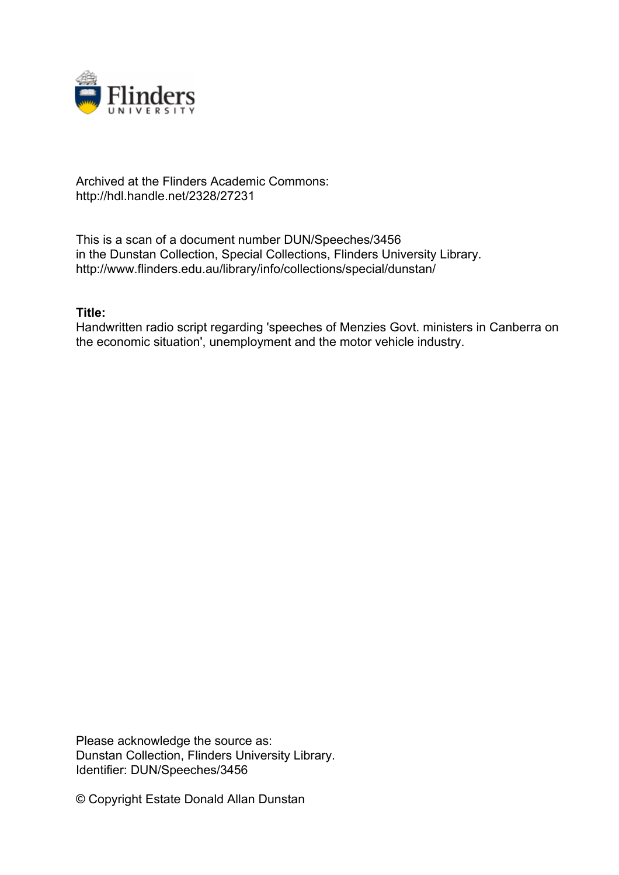

## Archived at the Flinders Academic Commons: http://hdl.handle.net/2328/27231

This is a scan of a document number DUN/Speeches/3456 in the Dunstan Collection, Special Collections, Flinders University Library. http://www.flinders.edu.au/library/info/collections/special/dunstan/

## **Title:**

Handwritten radio script regarding 'speeches of Menzies Govt. ministers in Canberra on the economic situation', unemployment and the motor vehicle industry.

Please acknowledge the source as: Dunstan Collection, Flinders University Library. Identifier: DUN/Speeches/3456

© Copyright Estate Donald Allan Dunstan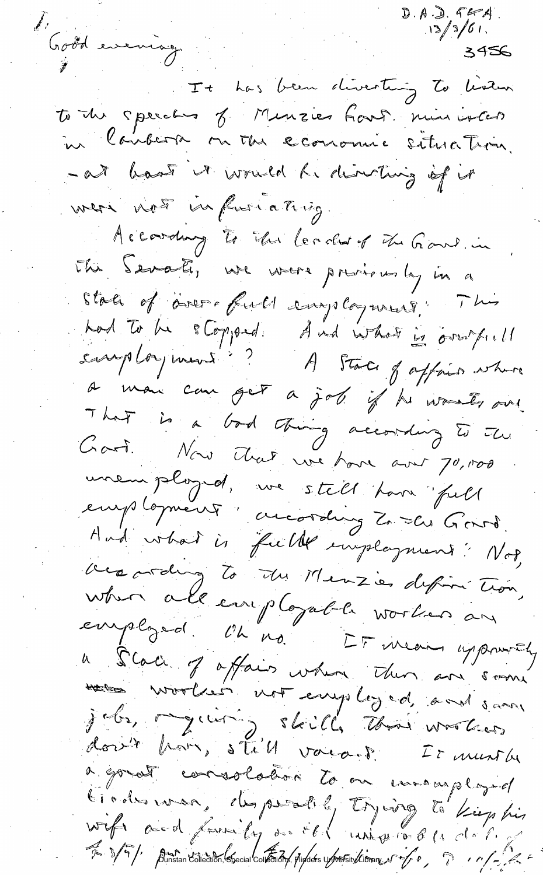$D.A. D. 564$ d'aoûd evening.  $3456$ It has been directing to learn to the speeches of Munzies four minimientes in landerse on the economie situation. -at hast ut would he directing of it were not infusionating. Accordany to the leader of the Games. in the Senate, we were previously in a State of aver full employment . This had to be stopped And what is overfield<br>samployment? A State of appointment That is a bod thing according to the Cart. Nous Alat une hour avec 70,000 unemployed, we stell have full employment : according Zo des Gorro.<br>And what is fulle imployment : Not, versording to the Menzie defini tion, when all employable worker an employed. Un no Et men uppourty a Scale of offairs when then are soone montres worked not employed, and sam jobs, myching, skill, thai wootens a gouat consolation to on unemployed tions was, desperatily trying to kiep his Wife and friend fy our of land of the de la de l'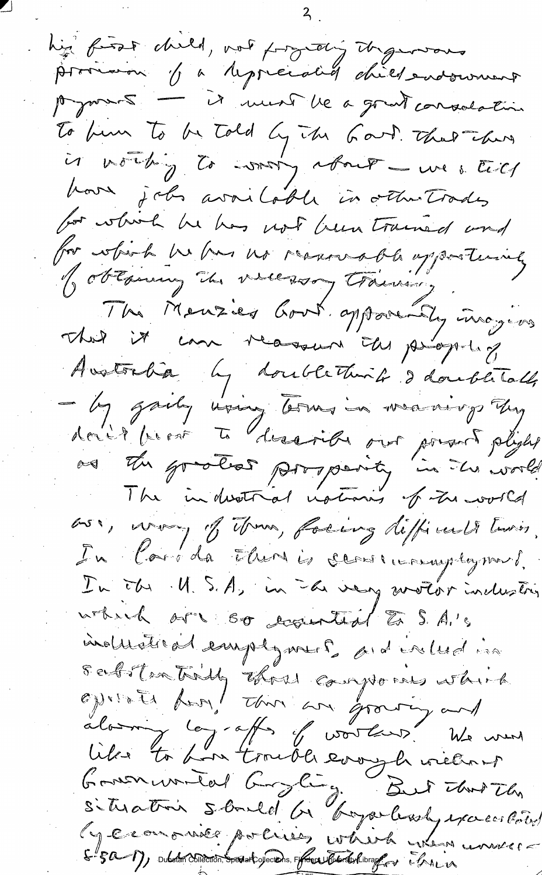his first child, not projecting the general subscriming To bun To be Told by The Good That There is northing to what y about - we still hour jobs available in other trades for which he has not hem trained and for which he has no reasonable oppostunity Jobtsining in vicessory training. Sitropolite in measurement the Rutter Avotorba by doublething I doubletall - by gardy wang borns in manings they donit prost te dessoibe out pourt plight as the good proposity in the world oss, voor, of those, facing difficult two, In Corrida There is carrieramplyment. In the U.S.A, in the very wroter inclusion which are so examined to S.A.'s induction emplyments and enluding Sabstrative that composes which<br>operate home that an growing and<br>along to home trouble everyth without<br>Governmented burgling But that the<br>situation sbould be boyer hody exceeded ly exampniée parcisies which were univers E 50 1), publican collection, special cylections, reflexabiled with librarily the in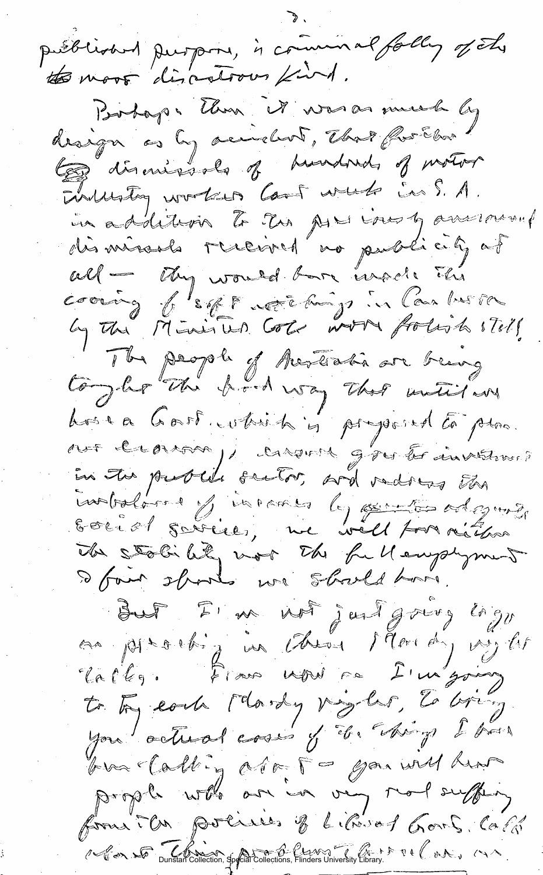published purpose, is command folly of the to most discotrous find. Portoges than it was as much by design as by according, that for Ebra to diseases of hundred of motor Divillation working Can't winds in S. A. un addition to the AL inost answer. dismission received no publicity of will - they would bare insert the cooring of sight note any in Combustor The people of Australia are being togler the hod way that mutitary Loir a Gast which is proposed to plac.<br>our lecoroso, caronel gros to investive? introlored y incomes by sinter adaptive Social savice, me vill por rétire The stability was the full employment But I'm not just group logy an place in them I dondy vy lit lallez. From word sa I'm going to try each Mordy pagelar, to bring you actual coses y de chips I has bus Calling aro 5 - gas will hear prople who are in very mort suffery formi la polices of Librard Gort, Call 1 - Can So Dunstan Collection, Special Collections, Finders University Library.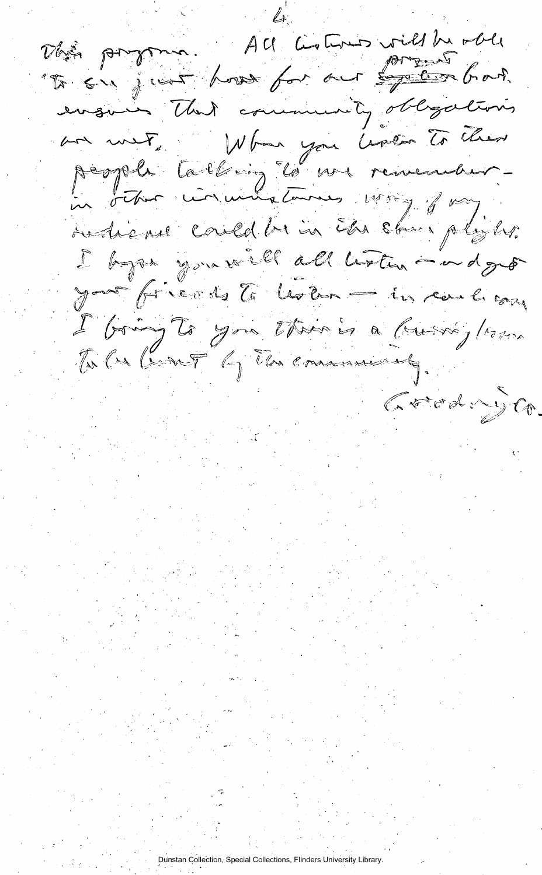Dhé program. All Lotour vill he able "To sur jour house for our sorgetion far? ensures That community obligations an met, When you have to their people talking to une remember. in other circuitstances was joy. Autrican could be in the stare players. I by a you will all listen - a dge yav frerdste lesten = in carlicay L'Oring To you there is a busing / 1000 To Car Grant by The communicaty. Grøde y Co. Dunstan Collection, Special Collections, Flinders University Library